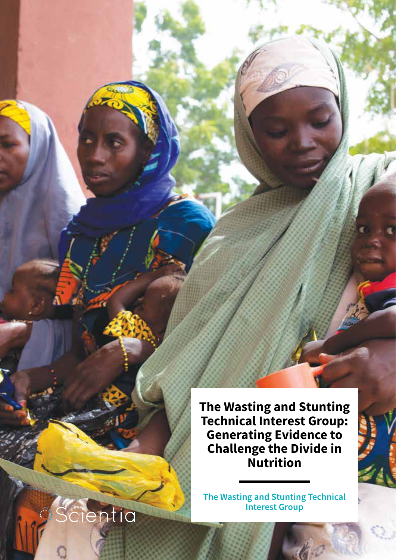**The Wasting and Stunting Technical Interest Group: Generating Evidence to Challenge the Divide in Nutrition** 

**The Wasting and Stunting Technical Interest Group** 

entia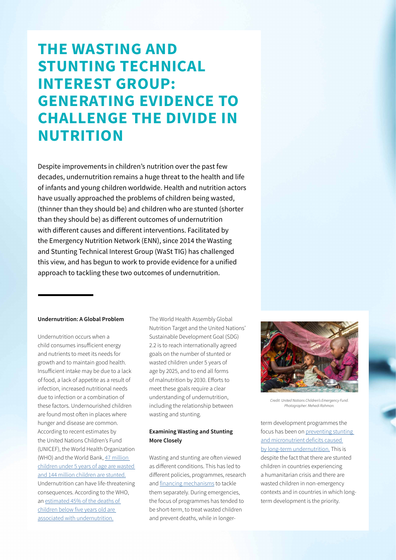## **THE WASTING AND STUNTING TECHNICAL INTEREST GROUP: GENERATING EVIDENCE TO CHALLENGE THE DIVIDE IN NUTRITION**

Despite improvements in children's nutrition over the past few decades, undernutrition remains a huge threat to the health and life of infants and young children worldwide. Health and nutrition actors have usually approached the problems of children being wasted, (thinner than they should be) and children who are stunted (shorter than they should be) as different outcomes of undernutrition with different causes and different interventions. Facilitated by the Emergency Nutrition Network (ENN), since 2014 the Wasting and Stunting Technical Interest Group (WaSt TIG) has challenged this view, and has begun to work to provide evidence for a unified approach to tackling these two outcomes of undernutrition.

### **Undernutrition: A Global Problem**

Undernutrition occurs when a child consumes insufficient energy and nutrients to meet its needs for growth and to maintain good health. Insufficient intake may be due to a lack of food, a lack of appetite as a result of infection, increased nutritional needs due to infection or a combination of these factors. Undernourished children are found most often in places where hunger and disease are common. According to recent estimates by the United Nations Children's Fund (UNICEF), the World Health Organization (WHO) and the World Bank, [47 million](https://www.who.int/publications/i/item/jme-2020-edition)  [children under 5 years of age are wasted](https://www.who.int/publications/i/item/jme-2020-edition)  [and 144 million children are stunted.](https://www.who.int/publications/i/item/jme-2020-edition) Undernutrition can have life-threatening consequences. According to the WHO, an [estimated 45% of the deaths of](https://www.who.int/news-room/fact-sheets/detail/malnutrition#:~:text=In%202016%2C%20an%20estimated%20155,age%20are%20linked%20to%20undernutrition.)  [children below five years old are](https://www.who.int/news-room/fact-sheets/detail/malnutrition#:~:text=In%202016%2C%20an%20estimated%20155,age%20are%20linked%20to%20undernutrition.)  [associated with undernutrition.](https://www.who.int/news-room/fact-sheets/detail/malnutrition#:~:text=In%202016%2C%20an%20estimated%20155,age%20are%20linked%20to%20undernutrition.)

The World Health Assembly Global Nutrition Target and the United Nations' Sustainable Development Goal (SDG) 2.2 is to reach internationally agreed goals on the number of stunted or wasted children under 5 years of age by 2025, and to end all forms of malnutrition by 2030. Efforts to meet these goals require a clear understanding of undernutrition, including the relationship between wasting and stunting.

### **Examining Wasting and Stunting More Closely**

Wasting and stunting are often viewed as different conditions. This has led to different policies, programmes, research and [financing mechanisms](https://www.ennonline.net/attachments/1413/enn-cmam-financing-summary-report-2013-web.pdf) to tackle them separately. During emergencies, the focus of programmes has tended to be short-term, to treat wasted children and prevent deaths, while in longer-



*Credit: United Nations Children's Emergency Fund. Photographer: Mehedi Rahman.*

term development programmes the focus has been on [preventing stunting](https://www.ennonline.net/attachments/1862/WAST_140714.pdf)  [and micronutrient deficits caused](https://www.ennonline.net/attachments/1862/WAST_140714.pdf)  [by long-term undernutrition.](https://www.ennonline.net/attachments/1862/WAST_140714.pdf) This is despite the fact that there are stunted children in countries experiencing a humanitarian crisis and there are wasted children in non-emergency contexts and in countries in which longterm development is the priority.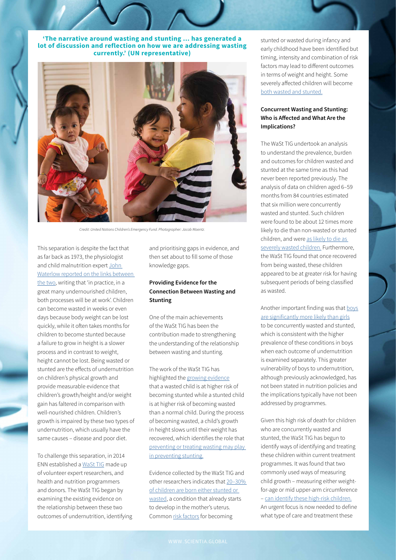**'The narrative around wasting and stunting ... has generated a lot of discussion and reflection on how we are addressing wasting currently.' (UN representative)**



*Credit: United Nations Children's Emergency Fund. Photographer: Jacob Maentz.*

This separation is despite the fact that as far back as 1973, the physiologist and child malnutrition expert [John](https://www.thelancet.com/journals/lancet/article/PIIS0140-6736(73)93276-5/fulltext)  [Waterlow reported on the links between](https://www.thelancet.com/journals/lancet/article/PIIS0140-6736(73)93276-5/fulltext)  [the two,](https://www.thelancet.com/journals/lancet/article/PIIS0140-6736(73)93276-5/fulltext) writing that 'in practice, in a great many undernourished children, both processes will be at work'. Children can become wasted in weeks or even days because body weight can be lost quickly, while it often takes months for children to become stunted because a failure to grow in height is a slower process and in contrast to weight, height cannot be lost. Being wasted or stunted are the effects of undernutrition on children's physical growth and provide measurable evidence that children's growth/height and/or weight gain has faltered in comparison with well-nourished children. Children's growth is impaired by these two types of undernutrition, which usually have the same causes – disease and poor diet.

To challenge this separation, in 2014 ENN established a [WaSt TIG](https://www.ennonline.net/ourwork/researchandreviews/wast/wasttigmembers) made up of volunteer expert researchers, and health and nutrition programmers and donors. The WaSt TIG began by examining the existing evidence on the relationship between these two outcomes of undernutrition, identifying and prioritising gaps in evidence, and then set about to fill some of those knowledge gaps.

### **Providing Evidence for the Connection Between Wasting and Stunting**

One of the main achievements of the WaSt TIG has been the contribution made to strengthening the understanding of the relationship between wasting and stunting.

The work of the WaSt TIG has highlighted the [growing evidence](https://www.ennonline.net/waststuntreview2014) that a wasted child is at higher risk of becoming stunted while a stunted child is at higher risk of becoming wasted than a normal child. During the process of becoming wasted, a child's growth in height slows until their weight has recovered, which identifies the role that [preventing or treating wasting may play](https://www.ncbi.nlm.nih.gov/pmc/articles/PMC6587969/)  [in preventing stunting.](https://www.ncbi.nlm.nih.gov/pmc/articles/PMC6587969/)

Evidence collected by the WaSt TIG and other researchers indicates that [20–30%](https://www.ncbi.nlm.nih.gov/pmc/articles/PMC3816349/)  [of children are born either stunted or](https://www.ncbi.nlm.nih.gov/pmc/articles/PMC3816349/)  [wasted,](https://www.ncbi.nlm.nih.gov/pmc/articles/PMC3816349/) a condition that already starts to develop in the mother's uterus. Common [risk factors](https://www.ncbi.nlm.nih.gov/pmc/articles/PMC3648726/) for becoming

stunted or wasted during infancy and early childhood have been identified but timing, intensity and combination of risk factors may lead to different outcomes in terms of weight and height. Some severely affected children will become [both wasted and stunted.](https://www.ncbi.nlm.nih.gov/pmc/articles/PMC5901398/)

### **Concurrent Wasting and Stunting: Who is Affected and What Are the Implications?**

The WaSt TIG undertook an analysis to understand the prevalence, burden and outcomes for children wasted and stunted at the same time as this had never been reported previously. The analysis of data on children aged 6–59 months from 84 countries estimated that six million were concurrently wasted and stunted. Such children were found to be about 12 times more likely to die than non-wasted or stunted children, and were [as likely to die as](https://www.ncbi.nlm.nih.gov/pmc/articles/PMC5901398/)  [severely wasted children.](https://www.ncbi.nlm.nih.gov/pmc/articles/PMC5901398/) Furthermore, the WaSt TIG found that once recovered from being wasted, these children appeared to be at greater risk for having subsequent periods of being classified as wasted.

Another important finding was that [boys](https://gh.bmj.com/content/5/12/e004030)  [are significantly more likely than girls](https://gh.bmj.com/content/5/12/e004030) to be concurrently wasted and stunted, which is consistent with the higher prevalence of these conditions in boys when each outcome of undernutrition is examined separately. This greater vulnerability of boys to undernutrition, although previously acknowledged, has not been stated in nutrition policies and the implications typically have not been addressed by programmes.

Given this high risk of death for children who are concurrently wasted and stunted, the WaSt TIG has begun to identify ways of identifying and treating these children within current treatment programmes. It was found that two commonly used ways of measuring child growth – measuring either weightfor-age or mid upper-arm circumference – [can identify these high-risk children.](https://www.ncbi.nlm.nih.gov/pmc/articles/PMC6047117/) An urgent focus is now needed to define what type of care and treatment these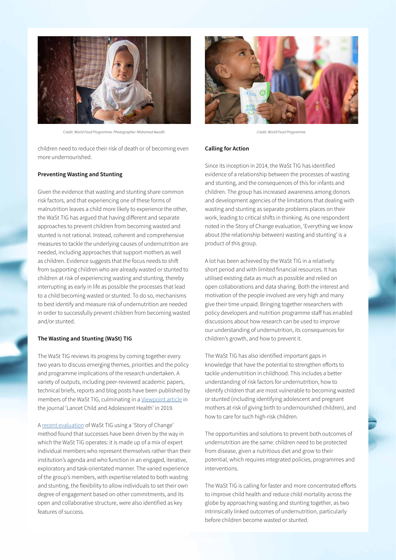

*Credit: World Food Programme. Photographer: Mohamed Awadh. Credit: World Food Programme.*

children need to reduce their risk of death or of becoming even more undernourished.

### **Preventing Wasting and Stunting**

Given the evidence that wasting and stunting share common risk factors, and that experiencing one of these forms of malnutrition leaves a child more likely to experience the other, the WaSt TIG has argued that having different and separate approaches to prevent children from becoming wasted and stunted is not rational. Instead, coherent and comprehensive measures to tackle the underlying causes of undernutrition are needed, including approaches that support mothers as well as children. Evidence suggests that the focus needs to shift from supporting children who are already wasted or stunted to children at risk of experiencing wasting and stunting, thereby interrupting as early in life as possible the processes that lead to a child becoming wasted or stunted. To do so, mechanisms to best identify and measure risk of undernutrition are needed in order to successfully prevent children from becoming wasted and/or stunted.

### **The Wasting and Stunting (WaSt) TIG**

The WaSt TIG reviews its progress by coming together every two years to discuss emerging themes, priorities and the policy and programme implications of the research undertaken. A variety of outputs, including peer-reviewed academic papers, technical briefs, reports and blog posts have been published by members of the WaSt TIG, culminating in a [Viewpoint article](https://www.sciencedirect.com/science/article/abs/pii/S2352464219302445) in the journal 'Lancet Child and Adolescent Health' in 2019.

A [recent evaluation](https://www.ennonline.net/storyofchangewastproject) of WaSt TIG using a 'Story of Change' method found that successes have been driven by the way in which the WaSt TIG operates: it is made up of a mix of expert individual members who represent themselves rather than their institution's agenda and who function in an engaged, iterative, exploratory and task-orientated manner. The varied experience of the group's members, with expertise related to both wasting and stunting, the flexibility to allow individuals to set their own degree of engagement based on other commitments, and its open and collaborative structure, were also identified as key features of success.



#### **Calling for Action**

Since its inception in 2014, the WaSt TIG has identified evidence of a relationship between the processes of wasting and stunting, and the consequences of this for infants and children. The group has increased awareness among donors and development agencies of the limitations that dealing with wasting and stunting as separate problems places on their work, leading to critical shifts in thinking. As one respondent noted in the Story of Change evaluation, 'Everything we know about (the relationship between) wasting and stunting' is a product of this group.

A lot has been achieved by the WaSt TIG in a relatively short period and with limited financial resources. It has utilised existing data as much as possible and relied on open collaborations and data sharing. Both the interest and motivation of the people involved are very high and many give their time unpaid. Bringing together researchers with policy developers and nutrition programme staff has enabled discussions about how research can be used to improve our understanding of undernutrition, its consequences for children's growth, and how to prevent it.

The WaSt TIG has also identified important gaps in knowledge that have the potential to strengthen efforts to tackle undernutrition in childhood. This includes a better understanding of risk factors for undernutrition, how to identify children that are most vulnerable to becoming wasted or stunted (including identifying adolescent and pregnant mothers at risk of giving birth to undernourished children), and how to care for such high-risk children.

The opportunities and solutions to prevent both outcomes of undernutrition are the same: children need to be protected from disease, given a nutritious diet and grow to their potential, which requires integrated policies, programmes and interventions.

The WaSt TIG is calling for faster and more concentrated efforts to improve child health and reduce child mortality across the globe by approaching wasting and stunting together, as two intrinsically linked outcomes of undernutrition, particularly before children become wasted or stunted.